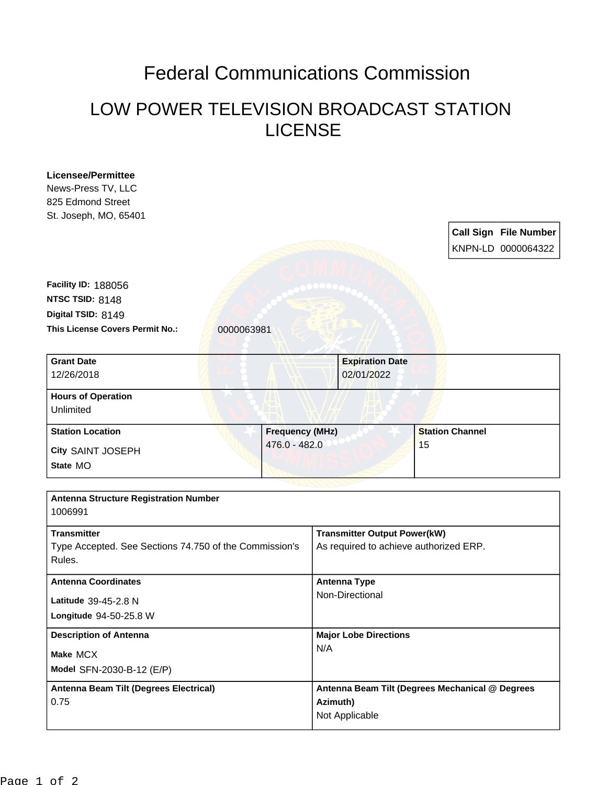## Federal Communications Commission

## LOW POWER TELEVISION BROADCAST STATION LICENSE

| <b>Licensee/Permittee</b>                              |                        |                                        |                                                 |  |                           |
|--------------------------------------------------------|------------------------|----------------------------------------|-------------------------------------------------|--|---------------------------|
| News-Press TV, LLC                                     |                        |                                        |                                                 |  |                           |
| 825 Edmond Street                                      |                        |                                        |                                                 |  |                           |
| St. Joseph, MO, 65401                                  |                        |                                        |                                                 |  |                           |
|                                                        |                        |                                        | <b>Call Sign File Number</b>                    |  |                           |
|                                                        |                        |                                        | KNPN-LD 0000064322                              |  |                           |
|                                                        |                        |                                        |                                                 |  |                           |
|                                                        |                        |                                        |                                                 |  |                           |
| <b>Facility ID: 188056</b>                             |                        |                                        |                                                 |  |                           |
| NTSC TSID: 8148                                        |                        |                                        |                                                 |  |                           |
| Digital TSID: 8149                                     |                        |                                        |                                                 |  |                           |
| This License Covers Permit No.:                        | 0000063981             |                                        |                                                 |  |                           |
| <b>Grant Date</b>                                      |                        |                                        |                                                 |  |                           |
| 12/26/2018                                             |                        |                                        | <b>Expiration Date</b><br>02/01/2022            |  |                           |
|                                                        |                        |                                        |                                                 |  |                           |
| <b>Hours of Operation</b>                              |                        |                                        |                                                 |  |                           |
| Unlimited                                              |                        |                                        |                                                 |  |                           |
| <b>Station Location</b>                                | <b>Frequency (MHz)</b> |                                        | <b>Station Channel</b>                          |  |                           |
| City SAINT JOSEPH                                      | 476.0 - 482.0          |                                        | 15                                              |  |                           |
| State MO                                               |                        |                                        |                                                 |  |                           |
|                                                        |                        |                                        |                                                 |  |                           |
| <b>Antenna Structure Registration Number</b>           |                        |                                        |                                                 |  |                           |
| 1006991                                                |                        |                                        |                                                 |  |                           |
|                                                        |                        |                                        |                                                 |  |                           |
| <b>Transmitter</b>                                     |                        | <b>Transmitter Output Power(kW)</b>    |                                                 |  |                           |
| Type Accepted. See Sections 74.750 of the Commission's |                        | As required to achieve authorized ERP. |                                                 |  |                           |
| Rules.                                                 |                        |                                        |                                                 |  |                           |
| <b>Antenna Coordinates</b>                             |                        |                                        | <b>Antenna Type</b>                             |  |                           |
| Latitude 39-45-2.8 N                                   |                        | Non-Directional                        |                                                 |  |                           |
| Longitude 94-50-25.8 W                                 |                        |                                        |                                                 |  |                           |
|                                                        |                        |                                        |                                                 |  |                           |
| <b>Description of Antenna</b><br>Make MCX              |                        | <b>Major Lobe Directions</b><br>N/A    |                                                 |  |                           |
|                                                        |                        |                                        |                                                 |  | Model SFN-2030-B-12 (E/P) |
| Antenna Beam Tilt (Degrees Electrical)                 |                        |                                        | Antenna Beam Tilt (Degrees Mechanical @ Degrees |  |                           |
| 0.75                                                   |                        | Azimuth)                               |                                                 |  |                           |
|                                                        |                        | Not Applicable                         |                                                 |  |                           |
|                                                        |                        |                                        |                                                 |  |                           |